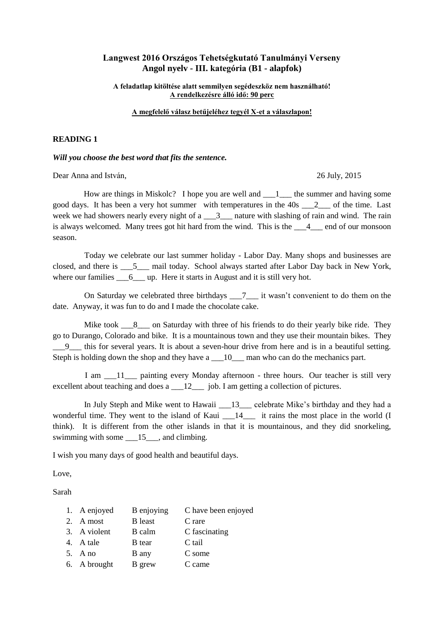### **Langwest 2016 Országos Tehetségkutató Tanulmányi Verseny Angol nyelv - III. kategória (B1 - alapfok)**

**A feladatlap kitöltése alatt semmilyen segédeszköz nem használható! A rendelkezésre álló idő: 90 perc** 

#### **A megfelelő válasz betűjeléhez tegyél X-et a válaszlapon!**

#### **READING 1**

*Will you choose the best word that fits the sentence.*

Dear Anna and István, 26 July, 2015

How are things in Miskolc? I hope you are well and  $\qquad 1$  the summer and having some good days. It has been a very hot summer with temperatures in the  $40s$   $2$  of the time. Last week we had showers nearly every night of  $a \_3$  nature with slashing of rain and wind. The rain is always welcomed. Many trees got hit hard from the wind. This is the  $\frac{4}{10}$  end of our monsoon season.

 Today we celebrate our last summer holiday - Labor Day. Many shops and businesses are closed, and there is \_\_\_5\_\_\_ mail today. School always started after Labor Day back in New York, where our families  $\qquad 6 \qquad \text{up. Here it starts in August and it is still very hot.}$ 

On Saturday we celebrated three birthdays  $\frac{7}{100}$  it wasn't convenient to do them on the date. Anyway, it was fun to do and I made the chocolate cake.

Mike took  $\quad 8$  on Saturday with three of his friends to do their yearly bike ride. They go to Durango, Colorado and bike. It is a mountainous town and they use their mountain bikes. They this for several years. It is about a seven-hour drive from here and is in a beautiful setting. Steph is holding down the shop and they have a \_\_10\_\_\_ man who can do the mechanics part.

I am  $11$  painting every Monday afternoon - three hours. Our teacher is still very excellent about teaching and does a \_\_\_12\_\_\_\_ job. I am getting a collection of pictures.

In July Steph and Mike went to Hawaii  $\qquad 13$  celebrate Mike's birthday and they had a wonderful time. They went to the island of Kaui  $14$  it rains the most place in the world (I think). It is different from the other islands in that it is mountainous, and they did snorkeling, swimming with some  $15$ , and climbing.

I wish you many days of good health and beautiful days.

Love,

Sarah

| 1. A enjoyed | B enjoying     | C have been enjoyed |
|--------------|----------------|---------------------|
| 2. A most    | <b>B</b> least | C rare              |
| 3. A violent | B calm         | C fascinating       |
| 4. A tale    | <b>B</b> tear  | C tail              |
| 5. A no      | B any          | C some              |
| 6. A brought | B grew         | C came              |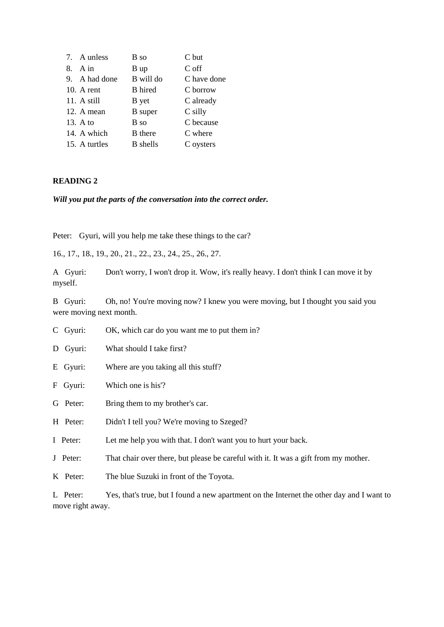| 7. A unless   | B so            | C but       |
|---------------|-----------------|-------------|
| $8.$ A in     | B up            | C off       |
| 9. A had done | B will do       | C have done |
| $10.$ A rent  | <b>B</b> hired  | C borrow    |
| 11. A still   | <b>B</b> yet    | C already   |
| 12. A mean    | <b>B</b> super  | $C$ silly   |
| 13. A to      | B so            | C because   |
| 14. A which   | <b>B</b> there  | C where     |
| 15. A turtles | <b>B</b> shells | C oysters   |

#### **READING 2**

*Will you put the parts of the conversation into the correct order.*

Peter: Gyuri, will you help me take these things to the car?

16., 17., 18., 19., 20., 21., 22., 23., 24., 25., 26., 27.

A Gyuri: Don't worry, I won't drop it. Wow, it's really heavy. I don't think I can move it by myself.

B Gyuri: Oh, no! You're moving now? I knew you were moving, but I thought you said you were moving next month.

- C Gyuri: OK, which car do you want me to put them in?
- D Gyuri: What should I take first?
- E Gyuri: Where are you taking all this stuff?
- F Gyuri: Which one is his'?
- G Peter: Bring them to my brother's car.
- H Peter: Didn't I tell you? We're moving to Szeged?
- I Peter: Let me help you with that. I don't want you to hurt your back.
- J Peter: That chair over there, but please be careful with it. It was a gift from my mother.
- K Peter: The blue Suzuki in front of the Toyota.

L Peter: Yes, that's true, but I found a new apartment on the Internet the other day and I want to move right away.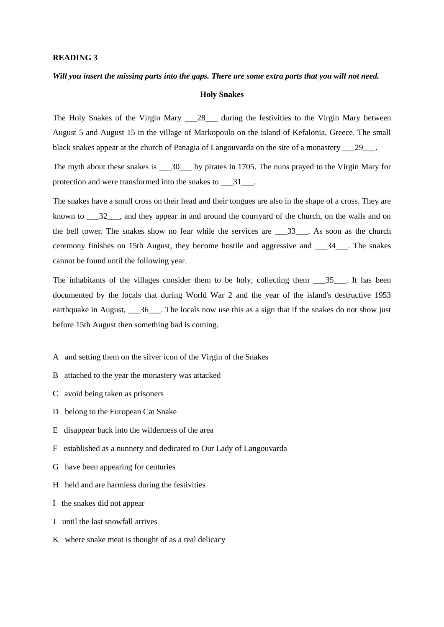#### **READING 3**

#### *Will you insert the missing parts into the gaps. There are some extra parts that you will not need.*

#### **Holy Snakes**

The Holy Snakes of the Virgin Mary 28\_ during the festivities to the Virgin Mary between August 5 and August 15 in the village of Markopoulo on the island of Kefalonia, Greece. The small black snakes appear at the church of Panagia of Langouvarda on the site of a monastery \_\_\_29\_\_\_.

The myth about these snakes is \_\_\_30\_\_\_ by pirates in 1705. The nuns prayed to the Virgin Mary for protection and were transformed into the snakes to \_\_\_31\_\_\_.

The snakes have a small cross on their head and their tongues are also in the shape of a cross. They are known to  $\frac{32}{10}$ , and they appear in and around the courtyard of the church, on the walls and on the bell tower. The snakes show no fear while the services are \_\_\_33\_\_\_. As soon as the church ceremony finishes on 15th August, they become hostile and aggressive and \_\_\_34\_\_\_. The snakes cannot be found until the following year.

The inhabitants of the villages consider them to be holy, collecting them \_\_\_35\_\_\_. It has been documented by the locals that during World War 2 and the year of the island's destructive 1953 earthquake in August, 36 The locals now use this as a sign that if the snakes do not show just before 15th August then something bad is coming.

- A and setting them on the silver icon of the Virgin of the Snakes
- B attached to the year the monastery was attacked
- C avoid being taken as prisoners
- D belong to the European Cat Snake
- E disappear back into the wilderness of the area
- F established as a nunnery and dedicated to Our Lady of Langouvarda
- G have been appearing for centuries
- H held and are harmless during the festivities
- I the snakes did not appear
- J until the last snowfall arrives
- K where snake meat is thought of as a real delicacy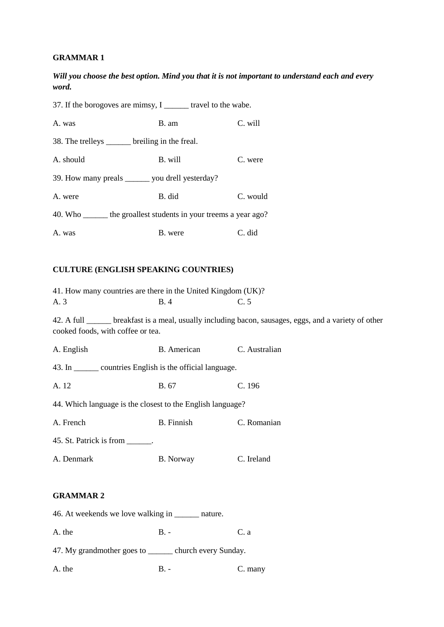### **GRAMMAR 1**

*Will you choose the best option. Mind you that it is not important to understand each and every word.*

37. If the borogoves are mimsy, I \_\_\_\_\_\_ travel to the wabe. A. was B. am C. will 38. The trelleys \_\_\_\_\_\_ breiling in the freal. A. should B. will C. were 39. How many preals \_\_\_\_\_\_ you drell yesterday? A. were B. did C. would 40. Who \_\_\_\_\_\_ the groallest students in your treems a year ago? A. was B. were C. did

### **CULTURE (ENGLISH SPEAKING COUNTRIES)**

| 41. How many countries are there in the United Kingdom (UK)? |             |                                                                                                        |  |  |
|--------------------------------------------------------------|-------------|--------------------------------------------------------------------------------------------------------|--|--|
| A. 3                                                         | B.4         | C.5                                                                                                    |  |  |
| cooked foods, with coffee or tea.                            |             | 42. A full ______ breakfast is a meal, usually including bacon, sausages, eggs, and a variety of other |  |  |
| A. English                                                   | B. American | C. Australian                                                                                          |  |  |
| 43. In ________ countries English is the official language.  |             |                                                                                                        |  |  |
| A. 12                                                        | B. 67       | C. 196                                                                                                 |  |  |
| 44. Which language is the closest to the English language?   |             |                                                                                                        |  |  |
| A. French                                                    | B. Finnish  | C. Romanian                                                                                            |  |  |
| 45. St. Patrick is from ______.                              |             |                                                                                                        |  |  |
| A. Denmark                                                   | B. Norway   | C. Ireland                                                                                             |  |  |
|                                                              |             |                                                                                                        |  |  |
| <b>GRAMMAR2</b>                                              |             |                                                                                                        |  |  |
| 46. At weekends we love walking in ________ nature.          |             |                                                                                                        |  |  |
| A. the                                                       | $B. -$      | C. a                                                                                                   |  |  |
| 47. My grandmother goes to _______ church every Sunday.      |             |                                                                                                        |  |  |
| A. the                                                       | $B -$       | C. many                                                                                                |  |  |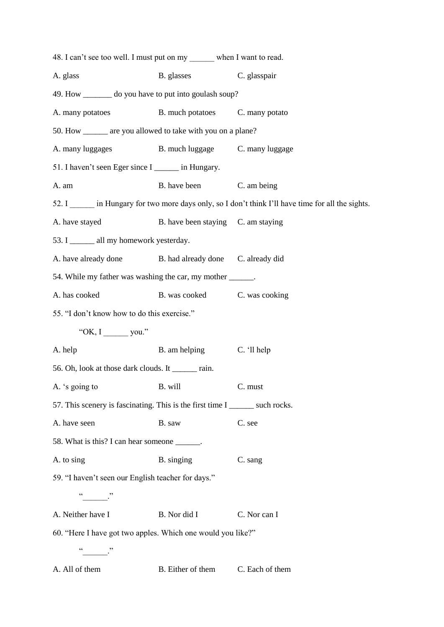| A. glass                                                                                                                                                                                                                                                                                                                                                                  | B. glasses                         | C. glasspair                                                                                 |
|---------------------------------------------------------------------------------------------------------------------------------------------------------------------------------------------------------------------------------------------------------------------------------------------------------------------------------------------------------------------------|------------------------------------|----------------------------------------------------------------------------------------------|
| 49. How ________ do you have to put into goulash soup?                                                                                                                                                                                                                                                                                                                    |                                    |                                                                                              |
| A. many potatoes                                                                                                                                                                                                                                                                                                                                                          | B. much potatoes C. many potato    |                                                                                              |
| 50. How _______ are you allowed to take with you on a plane?                                                                                                                                                                                                                                                                                                              |                                    |                                                                                              |
| A. many luggages                                                                                                                                                                                                                                                                                                                                                          | B. much luggage                    | C. many luggage                                                                              |
| 51. I haven't seen Eger since I _______ in Hungary.                                                                                                                                                                                                                                                                                                                       |                                    |                                                                                              |
| A. am                                                                                                                                                                                                                                                                                                                                                                     | B. have been                       | C. am being                                                                                  |
|                                                                                                                                                                                                                                                                                                                                                                           |                                    | 52. I in Hungary for two more days only, so I don't think I'll have time for all the sights. |
| A. have stayed                                                                                                                                                                                                                                                                                                                                                            | B. have been staying C. am staying |                                                                                              |
| 53. I _______ all my homework yesterday.                                                                                                                                                                                                                                                                                                                                  |                                    |                                                                                              |
| A. have already done B. had already done C. already did                                                                                                                                                                                                                                                                                                                   |                                    |                                                                                              |
| 54. While my father was washing the car, my mother ______.                                                                                                                                                                                                                                                                                                                |                                    |                                                                                              |
| A. has cooked                                                                                                                                                                                                                                                                                                                                                             | B. was cooked                      | C. was cooking                                                                               |
|                                                                                                                                                                                                                                                                                                                                                                           |                                    |                                                                                              |
|                                                                                                                                                                                                                                                                                                                                                                           |                                    |                                                                                              |
| "OK, I you."                                                                                                                                                                                                                                                                                                                                                              |                                    |                                                                                              |
|                                                                                                                                                                                                                                                                                                                                                                           | B. am helping                      | C. 'll help                                                                                  |
|                                                                                                                                                                                                                                                                                                                                                                           |                                    |                                                                                              |
|                                                                                                                                                                                                                                                                                                                                                                           | B. will                            | C. must                                                                                      |
|                                                                                                                                                                                                                                                                                                                                                                           |                                    |                                                                                              |
|                                                                                                                                                                                                                                                                                                                                                                           | B. saw                             | C. see                                                                                       |
|                                                                                                                                                                                                                                                                                                                                                                           |                                    |                                                                                              |
|                                                                                                                                                                                                                                                                                                                                                                           | B. singing                         | C. sang                                                                                      |
|                                                                                                                                                                                                                                                                                                                                                                           |                                    |                                                                                              |
|                                                                                                                                                                                                                                                                                                                                                                           |                                    |                                                                                              |
| 55. "I don't know how to do this exercise."<br>A. help<br>56. Oh, look at those dark clouds. It _______ rain.<br>A. 's going to<br>57. This scenery is fascinating. This is the first time I _______ such rocks.<br>A. have seen<br>58. What is this? I can hear someone ______.<br>A. to sing<br>59. "I haven't seen our English teacher for days."<br>A. Neither have I | B. Nor did I                       | C. Nor can I                                                                                 |
| 60. "Here I have got two apples. Which one would you like?"                                                                                                                                                                                                                                                                                                               |                                    |                                                                                              |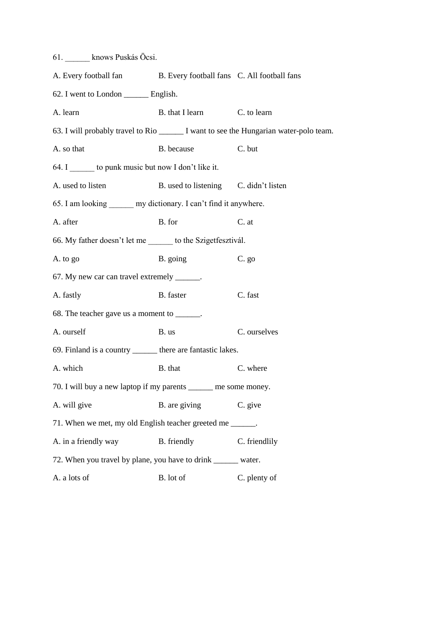| 61. knows Puskás Öcsi.                                                                 |                                       |               |  |  |
|----------------------------------------------------------------------------------------|---------------------------------------|---------------|--|--|
| A. Every football fan B. Every football fans C. All football fans                      |                                       |               |  |  |
| 62. I went to London ________ English.                                                 |                                       |               |  |  |
| A. learn                                                                               | B. that I learn                       | C. to learn   |  |  |
| 63. I will probably travel to Rio _______ I want to see the Hungarian water-polo team. |                                       |               |  |  |
| A. so that                                                                             | B. because                            | C. but        |  |  |
| 64. I to punk music but now I don't like it.                                           |                                       |               |  |  |
| A. used to listen                                                                      | B. used to listening C. didn't listen |               |  |  |
| 65. I am looking _______ my dictionary. I can't find it anywhere.                      |                                       |               |  |  |
| A. after                                                                               | B. for                                | C. at         |  |  |
| 66. My father doesn't let me ______ to the Szigetfesztivál.                            |                                       |               |  |  |
| A. to go                                                                               | B. going                              | $C.$ go       |  |  |
| 67. My new car can travel extremely ______.                                            |                                       |               |  |  |
| A. fastly                                                                              | B. faster                             | C. fast       |  |  |
| 68. The teacher gave us a moment to _______.                                           |                                       |               |  |  |
| A. ourself                                                                             | B. us                                 | C. ourselves  |  |  |
| 69. Finland is a country _______ there are fantastic lakes.                            |                                       |               |  |  |
| A. which                                                                               | B. that                               | C. where      |  |  |
| 70. I will buy a new laptop if my parents ______ me some money.                        |                                       |               |  |  |
| A. will give                                                                           | B. are giving                         | C. give       |  |  |
| 71. When we met, my old English teacher greeted me ______.                             |                                       |               |  |  |
| A. in a friendly way                                                                   | B. friendly                           | C. friendlily |  |  |
| 72. When you travel by plane, you have to drink _______ water.                         |                                       |               |  |  |
| A. a lots of                                                                           | B. lot of                             | C. plenty of  |  |  |
|                                                                                        |                                       |               |  |  |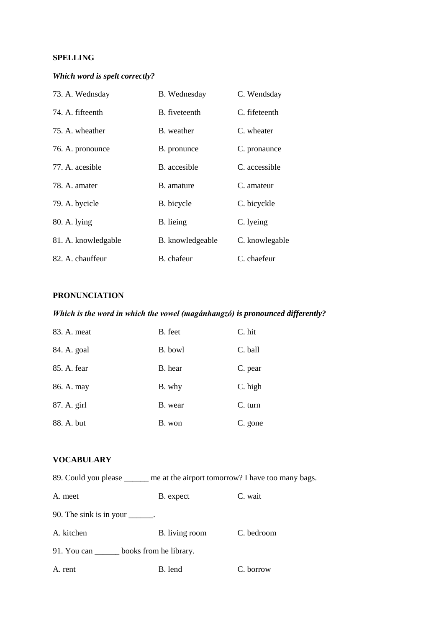## **SPELLING**

# *Which word is spelt correctly?*

| 73. A. Wednsday     | B. Wednesday     | C. Wendsday    |
|---------------------|------------------|----------------|
| 74. A. fifteenth    | B. fiveteenth    | C. fifeteenth  |
| 75. A. wheather     | B. weather       | C. wheater     |
| 76. A. pronounce    | B. pronunce      | C. pronaunce   |
| 77. A. acesible     | B. accesible     | C. accessible  |
| 78. A. amater       | B. amature       | C. amateur     |
| 79. A. bycicle      | B. bicycle       | C. bicyckle    |
| 80. A. lying        | B. lieing        | C. lyeing      |
| 81. A. knowledgable | B. knowledgeable | C. knowlegable |
| 82. A. chauffeur    | B. chafeur       | C. chaefeur    |

### **PRONUNCIATION**

# *Which is the word in which the vowel (magánhangzó) is pronounced differently?*

| 83. A. meat | B. feet | C. hit  |
|-------------|---------|---------|
| 84. A. goal | B. bowl | C. ball |
| 85. A. fear | B. hear | C. pear |
| 86. A. may  | B. why  | C. high |
| 87. A. girl | B. wear | C. turn |
| 88. A. but  | B. won  | C. gone |

### **VOCABULARY**

| 89. Could you please | me at the airport tomorrow? I have too many bags. |
|----------------------|---------------------------------------------------|
|                      |                                                   |

| A. meet                                             | B. expect      | C. wait    |  |  |
|-----------------------------------------------------|----------------|------------|--|--|
| 90. The sink is in your $\_\_\_\_\_\_\_\$ .         |                |            |  |  |
| A. kitchen                                          | B. living room | C. bedroom |  |  |
| books from he library.<br>91. You can $\frac{ }{ }$ |                |            |  |  |
| A. rent                                             | B. lend        | C. borrow  |  |  |